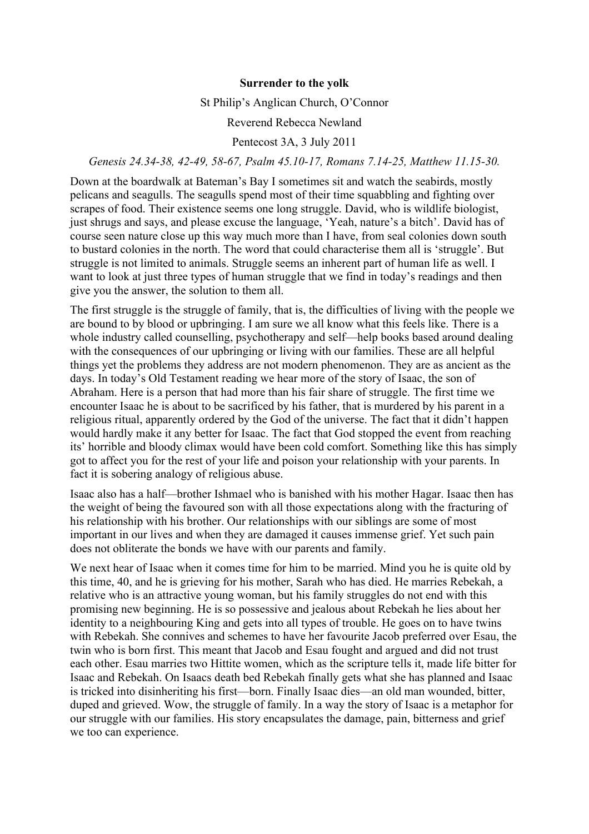## **Surrender to the yolk**

#### St Philip's Anglican Church, O'Connor

# Reverend Rebecca Newland

# Pentecost 3A, 3 July 2011

## *Genesis 24.34-38, 42-49, 58-67, Psalm 45.10-17, Romans 7.14-25, Matthew 11.15-30.*

Down at the boardwalk at Bateman's Bay I sometimes sit and watch the seabirds, mostly pelicans and seagulls. The seagulls spend most of their time squabbling and fighting over scrapes of food. Their existence seems one long struggle. David, who is wildlife biologist, just shrugs and says, and please excuse the language, 'Yeah, nature's a bitch'. David has of course seen nature close up this way much more than I have, from seal colonies down south to bustard colonies in the north. The word that could characterise them all is 'struggle'. But struggle is not limited to animals. Struggle seems an inherent part of human life as well. I want to look at just three types of human struggle that we find in today's readings and then give you the answer, the solution to them all.

The first struggle is the struggle of family, that is, the difficulties of living with the people we are bound to by blood or upbringing. I am sure we all know what this feels like. There is a whole industry called counselling, psychotherapy and self—help books based around dealing with the consequences of our upbringing or living with our families. These are all helpful things yet the problems they address are not modern phenomenon. They are as ancient as the days. In today's Old Testament reading we hear more of the story of Isaac, the son of Abraham. Here is a person that had more than his fair share of struggle. The first time we encounter Isaac he is about to be sacrificed by his father, that is murdered by his parent in a religious ritual, apparently ordered by the God of the universe. The fact that it didn't happen would hardly make it any better for Isaac. The fact that God stopped the event from reaching its' horrible and bloody climax would have been cold comfort. Something like this has simply got to affect you for the rest of your life and poison your relationship with your parents. In fact it is sobering analogy of religious abuse.

Isaac also has a half—brother Ishmael who is banished with his mother Hagar. Isaac then has the weight of being the favoured son with all those expectations along with the fracturing of his relationship with his brother. Our relationships with our siblings are some of most important in our lives and when they are damaged it causes immense grief. Yet such pain does not obliterate the bonds we have with our parents and family.

We next hear of Isaac when it comes time for him to be married. Mind you he is quite old by this time, 40, and he is grieving for his mother, Sarah who has died. He marries Rebekah, a relative who is an attractive young woman, but his family struggles do not end with this promising new beginning. He is so possessive and jealous about Rebekah he lies about her identity to a neighbouring King and gets into all types of trouble. He goes on to have twins with Rebekah. She connives and schemes to have her favourite Jacob preferred over Esau, the twin who is born first. This meant that Jacob and Esau fought and argued and did not trust each other. Esau marries two Hittite women, which as the scripture tells it, made life bitter for Isaac and Rebekah. On Isaacs death bed Rebekah finally gets what she has planned and Isaac is tricked into disinheriting his first—born. Finally Isaac dies—an old man wounded, bitter, duped and grieved. Wow, the struggle of family. In a way the story of Isaac is a metaphor for our struggle with our families. His story encapsulates the damage, pain, bitterness and grief we too can experience.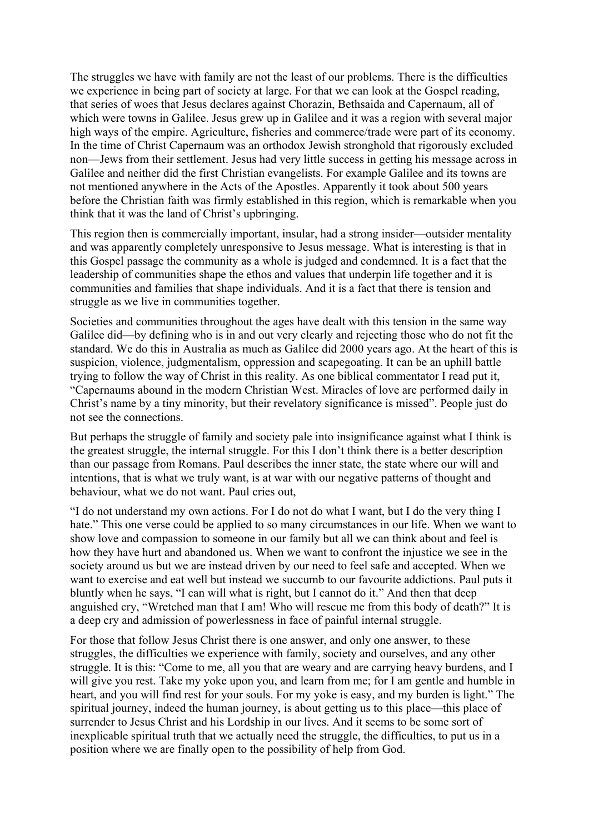The struggles we have with family are not the least of our problems. There is the difficulties we experience in being part of society at large. For that we can look at the Gospel reading, that series of woes that Jesus declares against Chorazin, Bethsaida and Capernaum, all of which were towns in Galilee. Jesus grew up in Galilee and it was a region with several major high ways of the empire. Agriculture, fisheries and commerce/trade were part of its economy. In the time of Christ Capernaum was an orthodox Jewish stronghold that rigorously excluded non—Jews from their settlement. Jesus had very little success in getting his message across in Galilee and neither did the first Christian evangelists. For example Galilee and its towns are not mentioned anywhere in the Acts of the Apostles. Apparently it took about 500 years before the Christian faith was firmly established in this region, which is remarkable when you think that it was the land of Christ's upbringing.

This region then is commercially important, insular, had a strong insider—outsider mentality and was apparently completely unresponsive to Jesus message. What is interesting is that in this Gospel passage the community as a whole is judged and condemned. It is a fact that the leadership of communities shape the ethos and values that underpin life together and it is communities and families that shape individuals. And it is a fact that there is tension and struggle as we live in communities together.

Societies and communities throughout the ages have dealt with this tension in the same way Galilee did—by defining who is in and out very clearly and rejecting those who do not fit the standard. We do this in Australia as much as Galilee did 2000 years ago. At the heart of this is suspicion, violence, judgmentalism, oppression and scapegoating. It can be an uphill battle trying to follow the way of Christ in this reality. As one biblical commentator I read put it, "Capernaums abound in the modern Christian West. Miracles of love are performed daily in Christ's name by a tiny minority, but their revelatory significance is missed". People just do not see the connections.

But perhaps the struggle of family and society pale into insignificance against what I think is the greatest struggle, the internal struggle. For this I don't think there is a better description than our passage from Romans. Paul describes the inner state, the state where our will and intentions, that is what we truly want, is at war with our negative patterns of thought and behaviour, what we do not want. Paul cries out,

"I do not understand my own actions. For I do not do what I want, but I do the very thing I hate." This one verse could be applied to so many circumstances in our life. When we want to show love and compassion to someone in our family but all we can think about and feel is how they have hurt and abandoned us. When we want to confront the injustice we see in the society around us but we are instead driven by our need to feel safe and accepted. When we want to exercise and eat well but instead we succumb to our favourite addictions. Paul puts it bluntly when he says, "I can will what is right, but I cannot do it." And then that deep anguished cry, "Wretched man that I am! Who will rescue me from this body of death?" It is a deep cry and admission of powerlessness in face of painful internal struggle.

For those that follow Jesus Christ there is one answer, and only one answer, to these struggles, the difficulties we experience with family, society and ourselves, and any other struggle. It is this: "Come to me, all you that are weary and are carrying heavy burdens, and I will give you rest. Take my yoke upon you, and learn from me; for I am gentle and humble in heart, and you will find rest for your souls. For my yoke is easy, and my burden is light." The spiritual journey, indeed the human journey, is about getting us to this place—this place of surrender to Jesus Christ and his Lordship in our lives. And it seems to be some sort of inexplicable spiritual truth that we actually need the struggle, the difficulties, to put us in a position where we are finally open to the possibility of help from God.